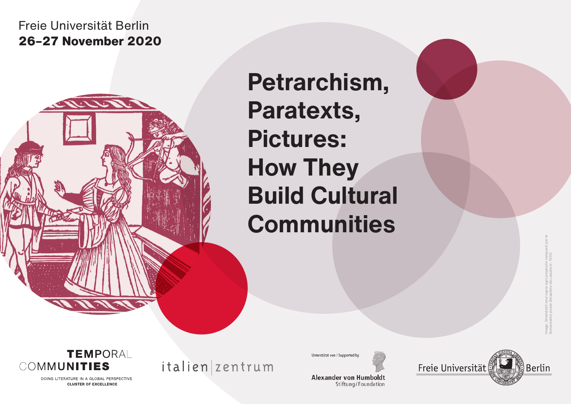# Freie Universität Berlin **26–27 November 2020**

**Petrarchism, Paratexts, Pictures: How They Build Cultural Communities**

Image: *Strambotti noui sopra ogni proposito composti per lo famosissimo poeta Seraphino da Laquila* (c. 1515)

**TEMPORAL** COMMUNITIES

> DOING LITERATURE IN A GLOBAL PERSPECTIVE **CLUSTER OF EXCELLENCE**

italien zentrum

Unterstützt von / Supported by

**Alexander von Humboldt** Stiftung/Foundation